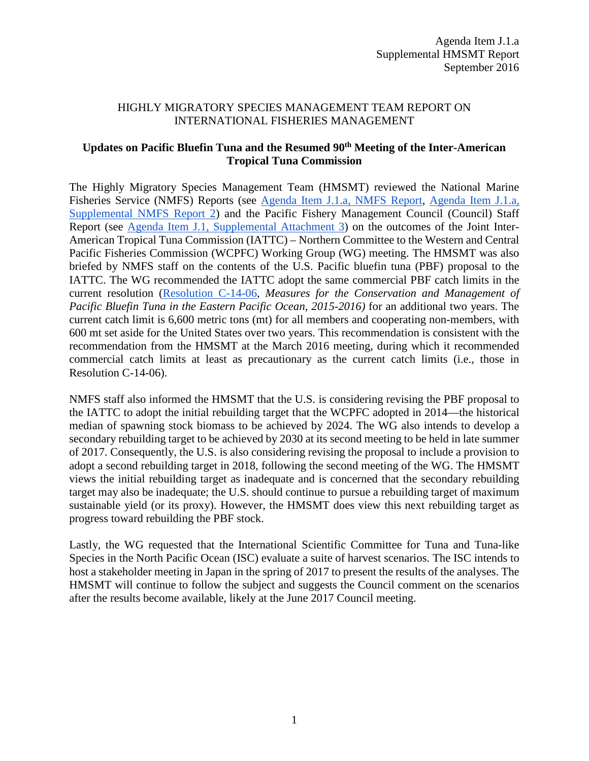## HIGHLY MIGRATORY SPECIES MANAGEMENT TEAM REPORT ON INTERNATIONAL FISHERIES MANAGEMENT

## **Updates on Pacific Bluefin Tuna and the Resumed 90th Meeting of the Inter-American Tropical Tuna Commission**

The Highly Migratory Species Management Team (HMSMT) reviewed the National Marine Fisheries Service (NMFS) Reports (see [Agenda Item J.1.a,](http://www.pcouncil.org/wp-content/uploads/2016/08/J1a_NMFS_Rpt_Intl_Issues_SEPT2016BB.pdf) NMFS Report, [Agenda Item J.1.a,](http://www.pcouncil.org/wp-content/uploads/2016/09/J1a_Sup_NMFS_Rpt2_SEPT2016BB.pdf) [Supplemental NMFS Report 2\)](http://www.pcouncil.org/wp-content/uploads/2016/09/J1a_Sup_NMFS_Rpt2_SEPT2016BB.pdf) and the Pacific Fishery Management Council (Council) Staff Report (see [Agenda Item J.1, Supplemental Attachment 3\)](http://www.pcouncil.org/wp-content/uploads/2016/09/J1_Sup_Att3_StaffRpt_NC_mtg_SEPT2016BB.pdf) on the outcomes of the Joint Inter-American Tropical Tuna Commission (IATTC) – Northern Committee to the Western and Central Pacific Fisheries Commission (WCPFC) Working Group (WG) meeting. The HMSMT was also briefed by NMFS staff on the contents of the U.S. Pacific bluefin tuna (PBF) proposal to the IATTC. The WG recommended the IATTC adopt the same commercial PBF catch limits in the current resolution [\(Resolution C-14-06,](https://www.iattc.org/PDFFiles2/Resolutions/C-14-06-Conservation-of-bluefin-2015-2016.pdf) *Measures for the Conservation and Management of Pacific Bluefin Tuna in the Eastern Pacific Ocean, 2015-2016)* for an additional two years. The current catch limit is 6,600 metric tons (mt) for all members and cooperating non-members, with 600 mt set aside for the United States over two years. This recommendation is consistent with the recommendation from the HMSMT at the March 2016 meeting, during which it recommended commercial catch limits at least as precautionary as the current catch limits (i.e., those in Resolution C-14-06).

NMFS staff also informed the HMSMT that the U.S. is considering revising the PBF proposal to the IATTC to adopt the initial rebuilding target that the WCPFC adopted in 2014—the historical median of spawning stock biomass to be achieved by 2024. The WG also intends to develop a secondary rebuilding target to be achieved by 2030 at its second meeting to be held in late summer of 2017. Consequently, the U.S. is also considering revising the proposal to include a provision to adopt a second rebuilding target in 2018, following the second meeting of the WG. The HMSMT views the initial rebuilding target as inadequate and is concerned that the secondary rebuilding target may also be inadequate; the U.S. should continue to pursue a rebuilding target of maximum sustainable yield (or its proxy). However, the HMSMT does view this next rebuilding target as progress toward rebuilding the PBF stock.

Lastly, the WG requested that the International Scientific Committee for Tuna and Tuna-like Species in the North Pacific Ocean (ISC) evaluate a suite of harvest scenarios. The ISC intends to host a stakeholder meeting in Japan in the spring of 2017 to present the results of the analyses. The HMSMT will continue to follow the subject and suggests the Council comment on the scenarios after the results become available, likely at the June 2017 Council meeting.